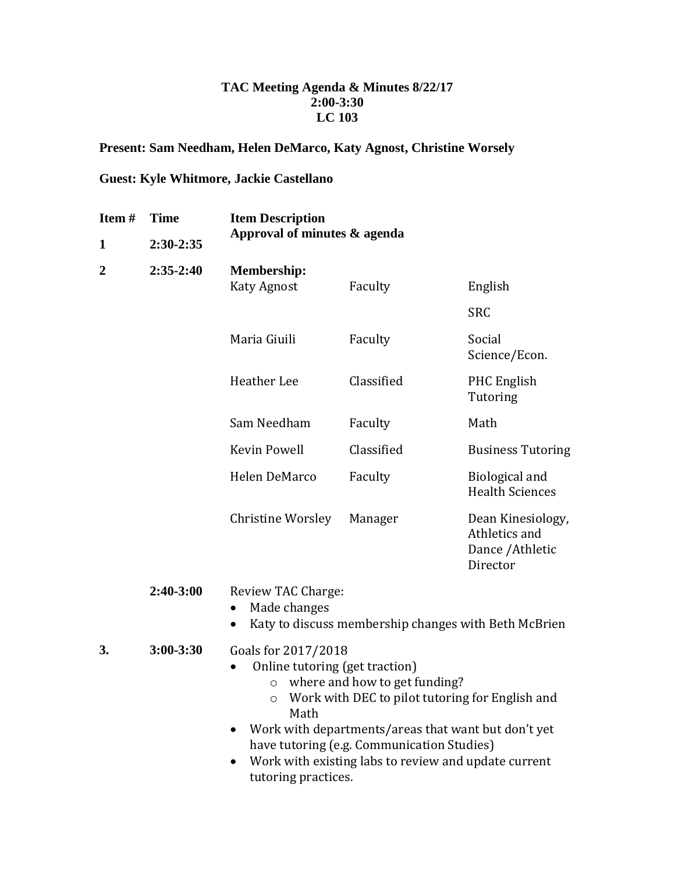## **TAC Meeting Agenda & Minutes 8/22/17 2:00-3:30 LC 103**

## **Present: Sam Needham, Helen DeMarco, Katy Agnost, Christine Worsely**

## **Guest: Kyle Whitmore, Jackie Castellano**

| Item#          | <b>Time</b>   | <b>Item Description</b>                                                                                                                                                                                                                                                                                                                                         |            |                                                                    |
|----------------|---------------|-----------------------------------------------------------------------------------------------------------------------------------------------------------------------------------------------------------------------------------------------------------------------------------------------------------------------------------------------------------------|------------|--------------------------------------------------------------------|
| 1              | 2:30-2:35     | Approval of minutes & agenda                                                                                                                                                                                                                                                                                                                                    |            |                                                                    |
| $\overline{2}$ | $2:35-2:40$   | <b>Membership:</b><br><b>Katy Agnost</b>                                                                                                                                                                                                                                                                                                                        | Faculty    | English                                                            |
|                |               |                                                                                                                                                                                                                                                                                                                                                                 |            | <b>SRC</b>                                                         |
|                |               | Maria Giuili                                                                                                                                                                                                                                                                                                                                                    | Faculty    | Social<br>Science/Econ.                                            |
|                |               | <b>Heather</b> Lee                                                                                                                                                                                                                                                                                                                                              | Classified | <b>PHC</b> English<br>Tutoring                                     |
|                |               | Sam Needham                                                                                                                                                                                                                                                                                                                                                     | Faculty    | Math                                                               |
|                |               | <b>Kevin Powell</b>                                                                                                                                                                                                                                                                                                                                             | Classified | <b>Business Tutoring</b>                                           |
|                |               | Helen DeMarco                                                                                                                                                                                                                                                                                                                                                   | Faculty    | Biological and<br><b>Health Sciences</b>                           |
|                |               | <b>Christine Worsley</b>                                                                                                                                                                                                                                                                                                                                        | Manager    | Dean Kinesiology,<br>Athletics and<br>Dance / Athletic<br>Director |
|                | 2:40-3:00     | Review TAC Charge:<br>Made changes<br>$\bullet$<br>Katy to discuss membership changes with Beth McBrien                                                                                                                                                                                                                                                         |            |                                                                    |
| 3.             | $3:00 - 3:30$ | Goals for 2017/2018<br>Online tutoring (get traction)<br>o where and how to get funding?<br>Work with DEC to pilot tutoring for English and<br>$\circ$<br>Math<br>Work with departments/areas that want but don't yet<br>$\bullet$<br>have tutoring (e.g. Communication Studies)<br>Work with existing labs to review and update current<br>tutoring practices. |            |                                                                    |